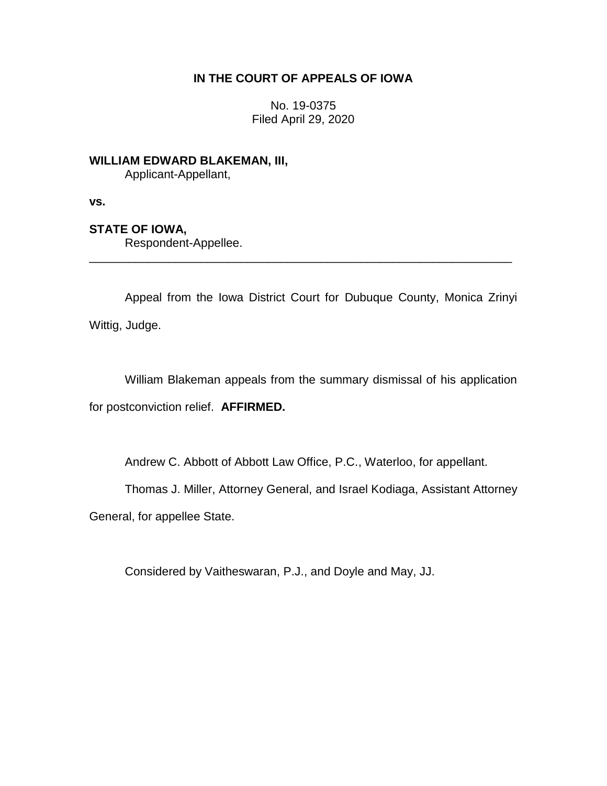## **IN THE COURT OF APPEALS OF IOWA**

No. 19-0375 Filed April 29, 2020

**WILLIAM EDWARD BLAKEMAN, III,**

Applicant-Appellant,

**vs.**

## **STATE OF IOWA,**

Respondent-Appellee.

Appeal from the Iowa District Court for Dubuque County, Monica Zrinyi Wittig, Judge.

\_\_\_\_\_\_\_\_\_\_\_\_\_\_\_\_\_\_\_\_\_\_\_\_\_\_\_\_\_\_\_\_\_\_\_\_\_\_\_\_\_\_\_\_\_\_\_\_\_\_\_\_\_\_\_\_\_\_\_\_\_\_\_\_

William Blakeman appeals from the summary dismissal of his application for postconviction relief. **AFFIRMED.**

Andrew C. Abbott of Abbott Law Office, P.C., Waterloo, for appellant.

Thomas J. Miller, Attorney General, and Israel Kodiaga, Assistant Attorney

General, for appellee State.

Considered by Vaitheswaran, P.J., and Doyle and May, JJ.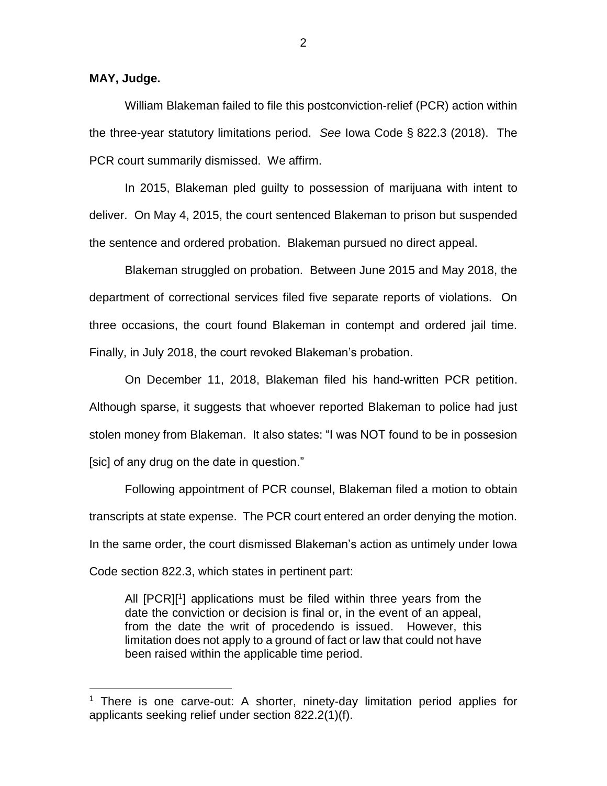**MAY, Judge.**

 $\overline{a}$ 

William Blakeman failed to file this postconviction-relief (PCR) action within the three-year statutory limitations period. *See* Iowa Code § 822.3 (2018). The PCR court summarily dismissed. We affirm.

In 2015, Blakeman pled guilty to possession of marijuana with intent to deliver. On May 4, 2015, the court sentenced Blakeman to prison but suspended the sentence and ordered probation. Blakeman pursued no direct appeal.

Blakeman struggled on probation. Between June 2015 and May 2018, the department of correctional services filed five separate reports of violations. On three occasions, the court found Blakeman in contempt and ordered jail time. Finally, in July 2018, the court revoked Blakeman's probation.

On December 11, 2018, Blakeman filed his hand-written PCR petition. Although sparse, it suggests that whoever reported Blakeman to police had just stolen money from Blakeman. It also states: "I was NOT found to be in possesion [sic] of any drug on the date in question."

Following appointment of PCR counsel, Blakeman filed a motion to obtain transcripts at state expense. The PCR court entered an order denying the motion. In the same order, the court dismissed Blakeman's action as untimely under Iowa Code section 822.3, which states in pertinent part:

All [PCR][<sup>1</sup>] applications must be filed within three years from the date the conviction or decision is final or, in the event of an appeal, from the date the writ of procedendo is issued. However, this limitation does not apply to a ground of fact or law that could not have been raised within the applicable time period.

<sup>&</sup>lt;sup>1</sup> There is one carve-out: A shorter, ninety-day limitation period applies for applicants seeking relief under section 822.2(1)(f).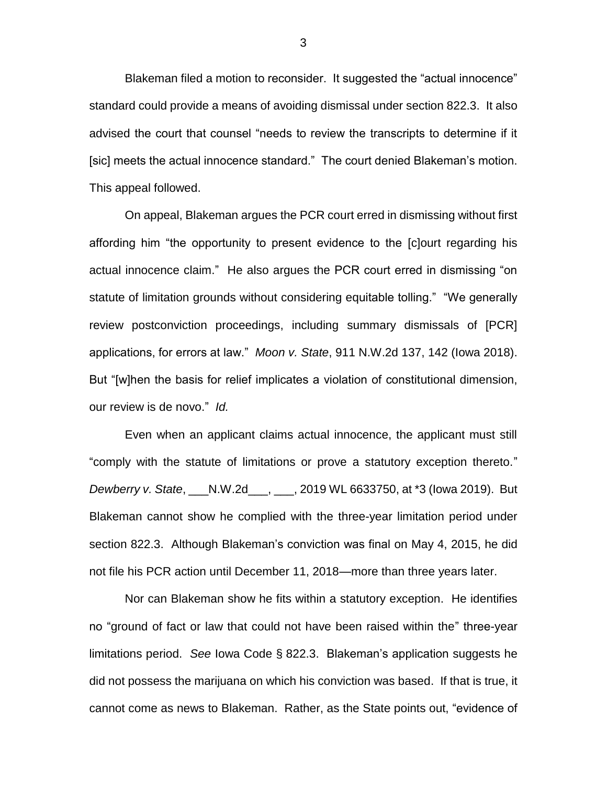Blakeman filed a motion to reconsider. It suggested the "actual innocence" standard could provide a means of avoiding dismissal under section 822.3. It also advised the court that counsel "needs to review the transcripts to determine if it [sic] meets the actual innocence standard." The court denied Blakeman's motion. This appeal followed.

On appeal, Blakeman argues the PCR court erred in dismissing without first affording him "the opportunity to present evidence to the [c]ourt regarding his actual innocence claim." He also argues the PCR court erred in dismissing "on statute of limitation grounds without considering equitable tolling." "We generally review postconviction proceedings, including summary dismissals of [PCR] applications, for errors at law." *Moon v. State*, 911 N.W.2d 137, 142 (Iowa 2018). But "[w]hen the basis for relief implicates a violation of constitutional dimension, our review is de novo." *Id.*

Even when an applicant claims actual innocence, the applicant must still "comply with the statute of limitations or prove a statutory exception thereto." *Dewberry v. State*, \_\_\_N.W.2d\_\_\_, \_\_\_, 2019 WL 6633750, at \*3 (Iowa 2019). But Blakeman cannot show he complied with the three-year limitation period under section 822.3. Although Blakeman's conviction was final on May 4, 2015, he did not file his PCR action until December 11, 2018—more than three years later.

Nor can Blakeman show he fits within a statutory exception. He identifies no "ground of fact or law that could not have been raised within the" three-year limitations period. *See* Iowa Code § 822.3. Blakeman's application suggests he did not possess the marijuana on which his conviction was based. If that is true, it cannot come as news to Blakeman. Rather, as the State points out, "evidence of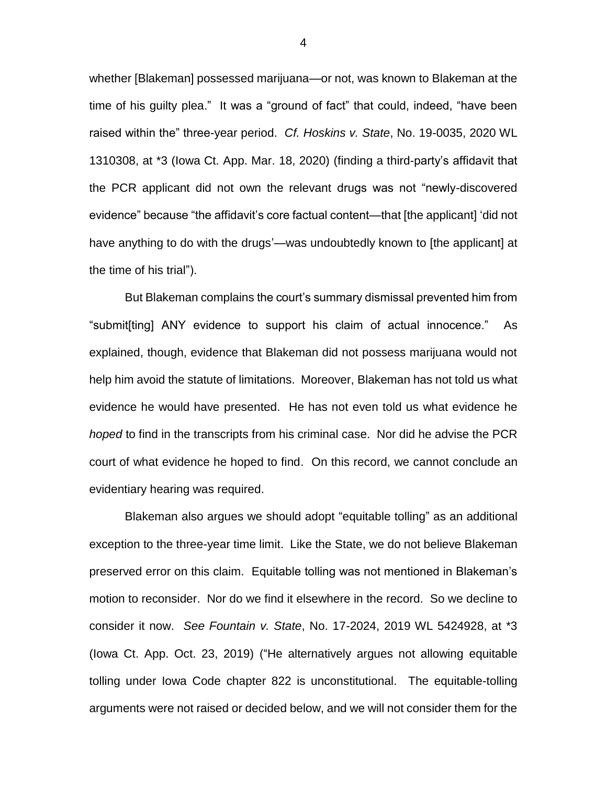whether [Blakeman] possessed marijuana—or not, was known to Blakeman at the time of his guilty plea." It was a "ground of fact" that could, indeed, "have been raised within the" three-year period. *Cf. Hoskins v. State*, No. 19-0035, 2020 WL 1310308, at \*3 (Iowa Ct. App. Mar. 18, 2020) (finding a third-party's affidavit that the PCR applicant did not own the relevant drugs was not "newly-discovered evidence" because "the affidavit's core factual content—that [the applicant] 'did not have anything to do with the drugs'—was undoubtedly known to [the applicant] at the time of his trial").

But Blakeman complains the court's summary dismissal prevented him from "submit[ting] ANY evidence to support his claim of actual innocence." As explained, though, evidence that Blakeman did not possess marijuana would not help him avoid the statute of limitations. Moreover, Blakeman has not told us what evidence he would have presented. He has not even told us what evidence he *hoped* to find in the transcripts from his criminal case. Nor did he advise the PCR court of what evidence he hoped to find. On this record, we cannot conclude an evidentiary hearing was required.

Blakeman also argues we should adopt "equitable tolling" as an additional exception to the three-year time limit. Like the State, we do not believe Blakeman preserved error on this claim. Equitable tolling was not mentioned in Blakeman's motion to reconsider. Nor do we find it elsewhere in the record. So we decline to consider it now. *See Fountain v. State*, No. 17-2024, 2019 WL 5424928, at \*3 (Iowa Ct. App. Oct. 23, 2019) ("He alternatively argues not allowing equitable tolling under Iowa Code chapter 822 is unconstitutional. The equitable-tolling arguments were not raised or decided below, and we will not consider them for the

4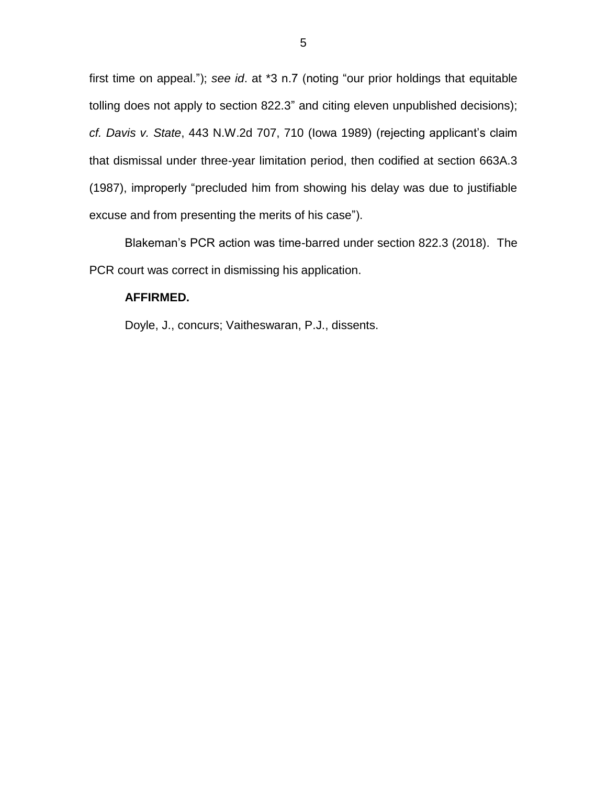first time on appeal."); *see id*. at \*3 n.7 (noting "our prior holdings that equitable tolling does not apply to section 822.3" and citing eleven unpublished decisions); *cf. Davis v. State*, 443 N.W.2d 707, 710 (Iowa 1989) (rejecting applicant's claim that dismissal under three-year limitation period, then codified at section 663A.3 (1987), improperly "precluded him from showing his delay was due to justifiable excuse and from presenting the merits of his case").

Blakeman's PCR action was time-barred under section 822.3 (2018). The PCR court was correct in dismissing his application.

## **AFFIRMED.**

Doyle, J., concurs; Vaitheswaran, P.J., dissents.